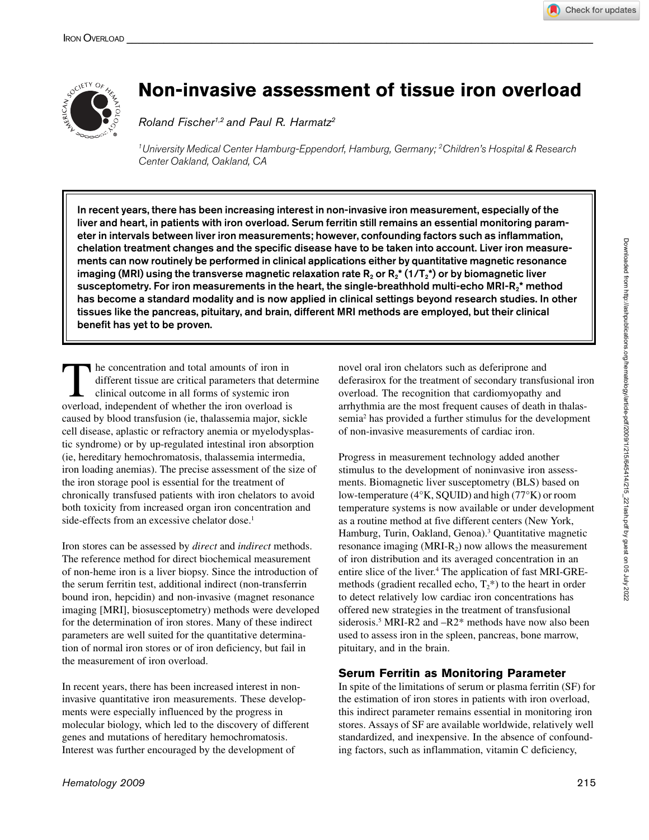



# **Non-invasive assessment of tissue iron overload**

*Roland Fischer1,2 and Paul R. Harmatz2*

*1University Medical Center Hamburg-Eppendorf, Hamburg, Germany; 2Children's Hospital & Research Center Oakland, Oakland, CA*

In recent years, there has been increasing interest in non-invasive iron measurement, especially of the liver and heart, in patients with iron overload. Serum ferritin still remains an essential monitoring parameter in intervals between liver iron measurements; however, confounding factors such as inflammation, chelation treatment changes and the specific disease have to be taken into account. Liver iron measurements can now routinely be performed in clinical applications either by quantitative magnetic resonance imaging (MRI) using the transverse magnetic relaxation rate  $R_2$  or  $R_2^*$  (1/T<sub>2</sub>\*) or by biomagnetic liver susceptometry. For iron measurements in the heart, the single-breathhold multi-echo MRI- $R_2^*$  method has become a standard modality and is now applied in clinical settings beyond research studies. In other tissues like the pancreas, pituitary, and brain, different MRI methods are employed, but their clinical benefit has yet to be proven.

The concentration and total amounts of iron in different tissue are critical parameters that determine clinical outcome in all forms of systemic iron overload, independent of whether the iron overload is caused by blood transfusion (ie, thalassemia major, sickle cell disease, aplastic or refractory anemia or myelodysplastic syndrome) or by up-regulated intestinal iron absorption (ie, hereditary hemochromatosis, thalassemia intermedia, iron loading anemias). The precise assessment of the size of the iron storage pool is essential for the treatment of chronically transfused patients with iron chelators to avoid both toxicity from increased organ iron concentration and side-effects from an excessive chelator dose.<sup>1</sup>

Iron stores can be assessed by *direct* and *indirect* methods. The reference method for direct biochemical measurement of non-heme iron is a liver biopsy. Since the introduction of the serum ferritin test, additional indirect (non-transferrin bound iron, hepcidin) and non-invasive (magnet resonance imaging [MRI], biosusceptometry) methods were developed for the determination of iron stores. Many of these indirect parameters are well suited for the quantitative determination of normal iron stores or of iron deficiency, but fail in the measurement of iron overload.

In recent years, there has been increased interest in noninvasive quantitative iron measurements. These developments were especially influenced by the progress in molecular biology, which led to the discovery of different genes and mutations of hereditary hemochromatosis. Interest was further encouraged by the development of

novel oral iron chelators such as deferiprone and deferasirox for the treatment of secondary transfusional iron overload. The recognition that cardiomyopathy and arrhythmia are the most frequent causes of death in thalassemia<sup>2</sup> has provided a further stimulus for the development of non-invasive measurements of cardiac iron.

Progress in measurement technology added another stimulus to the development of noninvasive iron assessments. Biomagnetic liver susceptometry (BLS) based on low-temperature (4°K, SQUID) and high (77°K) or room temperature systems is now available or under development as a routine method at five different centers (New York, Hamburg, Turin, Oakland, Genoa).<sup>3</sup> Quantitative magnetic resonance imaging  $(MRI-R_2)$  now allows the measurement of iron distribution and its averaged concentration in an entire slice of the liver.<sup>4</sup> The application of fast MRI-GREmethods (gradient recalled echo,  $T_2^*$ ) to the heart in order to detect relatively low cardiac iron concentrations has offered new strategies in the treatment of transfusional siderosis.5 MRI-R2 and –R2\* methods have now also been used to assess iron in the spleen, pancreas, bone marrow, pituitary, and in the brain.

# **Serum Ferritin as Monitoring Parameter**

In spite of the limitations of serum or plasma ferritin (SF) for the estimation of iron stores in patients with iron overload, this indirect parameter remains essential in monitoring iron stores. Assays of SF are available worldwide, relatively well standardized, and inexpensive. In the absence of confounding factors, such as inflammation, vitamin C deficiency,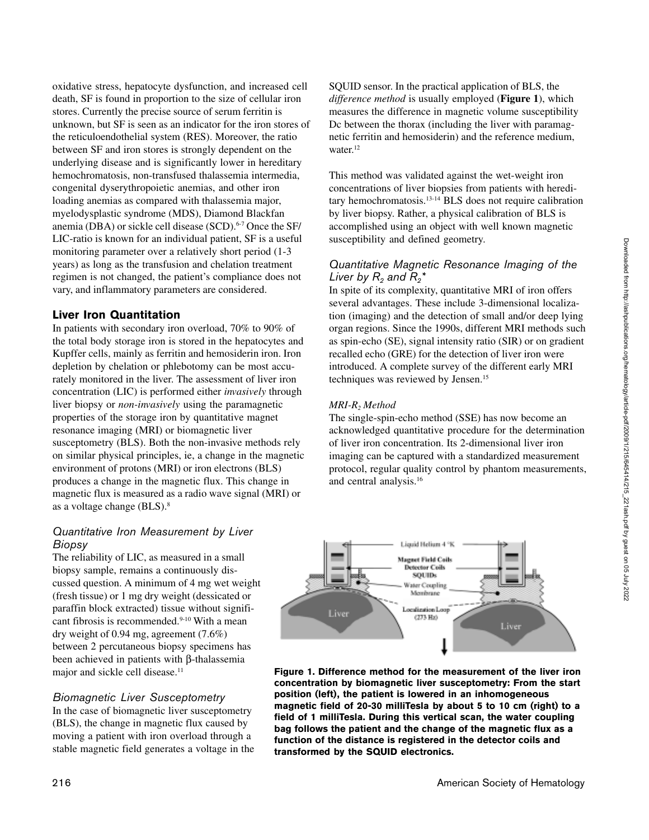oxidative stress, hepatocyte dysfunction, and increased cell death, SF is found in proportion to the size of cellular iron stores. Currently the precise source of serum ferritin is unknown, but SF is seen as an indicator for the iron stores of the reticuloendothelial system (RES). Moreover, the ratio between SF and iron stores is strongly dependent on the underlying disease and is significantly lower in hereditary hemochromatosis, non-transfused thalassemia intermedia, congenital dyserythropoietic anemias, and other iron loading anemias as compared with thalassemia major, myelodysplastic syndrome (MDS), Diamond Blackfan anemia (DBA) or sickle cell disease (SCD).<sup>6-7</sup> Once the SF/ LIC-ratio is known for an individual patient, SF is a useful monitoring parameter over a relatively short period (1-3 years) as long as the transfusion and chelation treatment regimen is not changed, the patient's compliance does not vary, and inflammatory parameters are considered.

## **Liver Iron Quantitation**

In patients with secondary iron overload, 70% to 90% of the total body storage iron is stored in the hepatocytes and Kupffer cells, mainly as ferritin and hemosiderin iron. Iron depletion by chelation or phlebotomy can be most accurately monitored in the liver. The assessment of liver iron concentration (LIC) is performed either *invasively* through liver biopsy or *non-invasively* using the paramagnetic properties of the storage iron by quantitative magnet resonance imaging (MRI) or biomagnetic liver susceptometry (BLS). Both the non-invasive methods rely on similar physical principles, ie, a change in the magnetic environment of protons (MRI) or iron electrons (BLS) produces a change in the magnetic flux. This change in magnetic flux is measured as a radio wave signal (MRI) or as a voltage change (BLS).8

## *Quantitative Iron Measurement by Liver Biopsy*

The reliability of LIC, as measured in a small biopsy sample, remains a continuously discussed question. A minimum of 4 mg wet weight (fresh tissue) or 1 mg dry weight (dessicated or paraffin block extracted) tissue without significant fibrosis is recommended.<sup>9-10</sup> With a mean dry weight of 0.94 mg, agreement (7.6%) between 2 percutaneous biopsy specimens has been achieved in patients with β-thalassemia major and sickle cell disease.<sup>11</sup>

#### *Biomagnetic Liver Susceptometry*

In the case of biomagnetic liver susceptometry (BLS), the change in magnetic flux caused by moving a patient with iron overload through a stable magnetic field generates a voltage in the SQUID sensor. In the practical application of BLS, the *difference method* is usually employed (**Figure 1**), which measures the difference in magnetic volume susceptibility Dc between the thorax (including the liver with paramagnetic ferritin and hemosiderin) and the reference medium, water.<sup>12</sup>

This method was validated against the wet-weight iron concentrations of liver biopsies from patients with hereditary hemochromatosis.13-14 BLS does not require calibration by liver biopsy. Rather, a physical calibration of BLS is accomplished using an object with well known magnetic susceptibility and defined geometry.

## *Quantitative Magnetic Resonance Imaging of the Liver by*  $R_2$  *and*  $R_2$ *<sup>\*</sup>*

In spite of its complexity, quantitative MRI of iron offers several advantages. These include 3-dimensional localization (imaging) and the detection of small and/or deep lying organ regions. Since the 1990s, different MRI methods such as spin-echo (SE), signal intensity ratio (SIR) or on gradient recalled echo (GRE) for the detection of liver iron were introduced. A complete survey of the different early MRI techniques was reviewed by Jensen.<sup>15</sup>

#### *MRI-R2 Method*

The single-spin-echo method (SSE) has now become an acknowledged quantitative procedure for the determination of liver iron concentration. Its 2-dimensional liver iron imaging can be captured with a standardized measurement protocol, regular quality control by phantom measurements, and central analysis.16



**Figure 1. Difference method for the measurement of the liver iron concentration by biomagnetic liver susceptometry: From the start position (left), the patient is lowered in an inhomogeneous magnetic field of 20-30 milliTesla by about 5 to 10 cm (right) to a field of 1 milliTesla. During this vertical scan, the water coupling bag follows the patient and the change of the magnetic flux as a function of the distance is registered in the detector coils and transformed by the SQUID electronics.**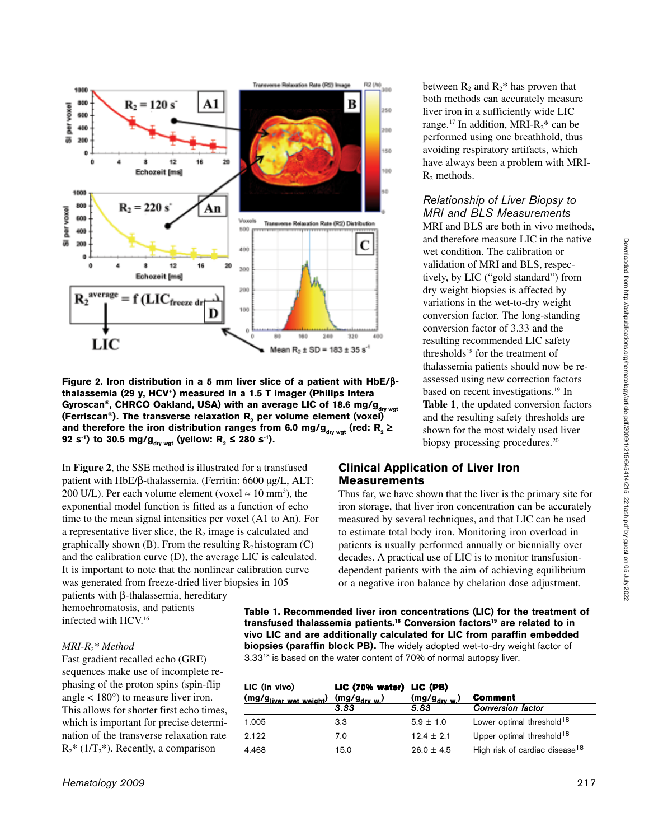

**Figure 2. Iron distribution in a 5 mm liver slice of a patient with HbE/**β**thalassemia (29 y, HCV+) measured in a 1.5 T imager (Philips Intera** Gyroscan®, CHRCO Oakland, USA) with an average LIC of 18.6 mg/g<sub>dry wgt</sub> (Ferriscan®). The transverse relaxation **R<sub>2</sub> per volume element (voxel**) and therefore the iron distribution ranges from 6.0 mg/g<sub>dry wgt</sub> (red: R<sub>2</sub> ≥ **92 s<sup>-1</sup>) to 30.5 mg/g<sub>dry wgt</sub> (yellow: R<sub>2</sub>**  $\leq$  **280 s<sup>-1</sup>).** 

In **Figure 2**, the SSE method is illustrated for a transfused patient with HbE/β-thalassemia. (Ferritin: 6600 µg/L, ALT: 200 U/L). Per each volume element (voxel  $\approx 10 \text{ mm}^3$ ), the exponential model function is fitted as a function of echo time to the mean signal intensities per voxel (A1 to An). For a representative liver slice, the  $R_2$  image is calculated and graphically shown (B). From the resulting  $R_2$  histogram (C) and the calibration curve (D), the average LIC is calculated. It is important to note that the nonlinear calibration curve was generated from freeze-dried liver biopsies in 105

patients with β-thalassemia, hereditary hemochromatosis, and patients infected with HCV.16

#### *MRI-R2\* Method*

Fast gradient recalled echo (GRE) sequences make use of incomplete rephasing of the proton spins (spin-flip angle  $< 180^\circ$  to measure liver iron. This allows for shorter first echo times, which is important for precise determination of the transverse relaxation rate  $R<sub>2</sub><sup>*</sup> (1/T<sub>2</sub><sup>*</sup>)$ . Recently, a comparison

between  $R_2$  and  $R_2^*$  has proven that both methods can accurately measure liver iron in a sufficiently wide LIC range.<sup>17</sup> In addition, MRI- $R_2^*$  can be performed using one breathhold, thus avoiding respiratory artifacts, which have always been a problem with MRI- $R_2$  methods.

*Relationship of Liver Biopsy to MRI and BLS Measurements* MRI and BLS are both in vivo methods, and therefore measure LIC in the native wet condition. The calibration or validation of MRI and BLS, respectively, by LIC ("gold standard") from dry weight biopsies is affected by variations in the wet-to-dry weight conversion factor. The long-standing conversion factor of 3.33 and the resulting recommended LIC safety thresholds<sup>18</sup> for the treatment of thalassemia patients should now be reassessed using new correction factors based on recent investigations.19 In **Table 1**, the updated conversion factors and the resulting safety thresholds are shown for the most widely used liver biopsy processing procedures.<sup>20</sup>

## **Clinical Application of Liver Iron Measurements**

Thus far, we have shown that the liver is the primary site for iron storage, that liver iron concentration can be accurately measured by several techniques, and that LIC can be used to estimate total body iron. Monitoring iron overload in patients is usually performed annually or biennially over decades. A practical use of LIC is to monitor transfusiondependent patients with the aim of achieving equilibrium or a negative iron balance by chelation dose adjustment.

**Table 1. Recommended liver iron concentrations (LIC) for the treatment of transfused thalassemia patients.18 Conversion factors19 are related to in vivo LIC and are additionally calculated for LIC from paraffin embedded biopsies (paraffin block PB).** The widely adopted wet-to-dry weight factor of 3.3318 is based on the water content of 70% of normal autopsy liver.

| LIC (in vivo)<br>(mg/gliver wet weight) | LIC (70% water) LIC (PB)<br>(mg/g <sub>dry w.</sub> )<br>3.33 | $(mg/g_{\text{drv W}})$ | <b>Comment</b>                             |
|-----------------------------------------|---------------------------------------------------------------|-------------------------|--------------------------------------------|
|                                         |                                                               | 5.83                    | Conversion factor                          |
| 1.005                                   | 3.3                                                           | $5.9 \pm 1.0$           | Lower optimal threshold <sup>18</sup>      |
| 2.122                                   | 7.0                                                           | $12.4 \pm 2.1$          | Upper optimal threshold <sup>18</sup>      |
| 4.468                                   | 15.0                                                          | $26.0 \pm 4.5$          | High risk of cardiac disease <sup>18</sup> |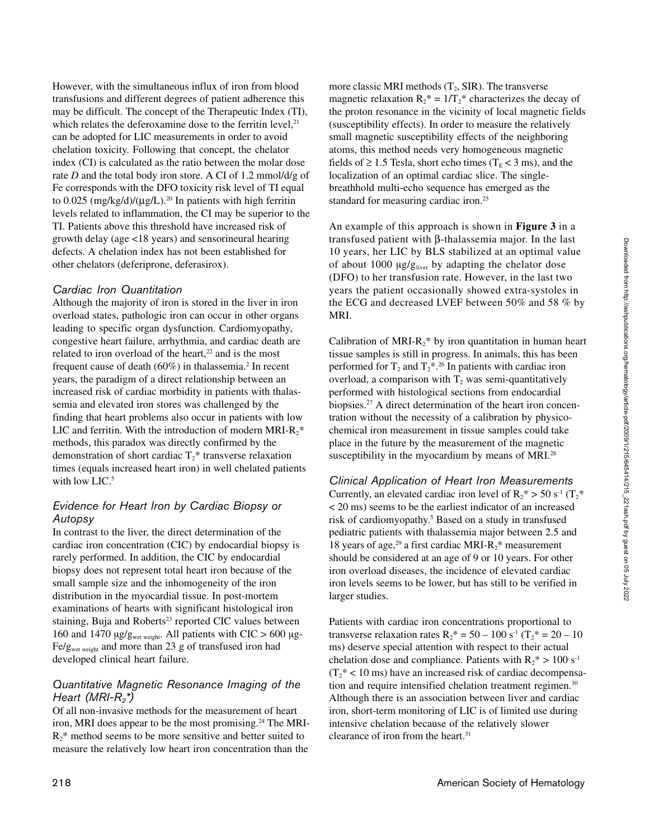However, with the simultaneous influx of iron from blood transfusions and different degrees of patient adherence this may be difficult. The concept of the Therapeutic Index (TI), which relates the deferoxamine dose to the ferritin level, $21$ can be adopted for LIC measurements in order to avoid chelation toxicity. Following that concept, the chelator index (CI) is calculated as the ratio between the molar dose rate *D* and the total body iron store. A CI of 1.2 mmol/d/g of Fe corresponds with the DFO toxicity risk level of TI equal to 0.025 (mg/kg/d)/( $\mu$ g/L).<sup>20</sup> In patients with high ferritin levels related to inflammation, the CI may be superior to the TI. Patients above this threshold have increased risk of growth delay (age <18 years) and sensorineural hearing defects. A chelation index has not been established for other chelators (deferiprone, deferasirox).

#### *Cardiac Iron Quantitation*

Although the majority of iron is stored in the liver in iron overload states, pathologic iron can occur in other organs leading to specific organ dysfunction. Cardiomyopathy, congestive heart failure, arrhythmia, and cardiac death are related to iron overload of the heart,<sup>22</sup> and is the most frequent cause of death (60%) in thalassemia.<sup>2</sup> In recent years, the paradigm of a direct relationship between an increased risk of cardiac morbidity in patients with thalassemia and elevated iron stores was challenged by the finding that heart problems also occur in patients with low LIC and ferritin. With the introduction of modern MRI- $R_2^*$ methods, this paradox was directly confirmed by the demonstration of short cardiac  $T_2^*$  transverse relaxation times (equals increased heart iron) in well chelated patients with low LIC.<sup>5</sup>

## *Evidence for Heart Iron by Cardiac Biopsy or Autopsy*

In contrast to the liver, the direct determination of the cardiac iron concentration (CIC) by endocardial biopsy is rarely performed. In addition, the CIC by endocardial biopsy does not represent total heart iron because of the small sample size and the inhomogeneity of the iron distribution in the myocardial tissue. In post-mortem examinations of hearts with significant histological iron staining, Buja and Roberts<sup>23</sup> reported CIC values between 160 and 1470  $\mu$ g/g<sub>wet weight</sub>. All patients with CIC > 600  $\mu$ g-Fe/g<sub>wet weight</sub> and more than 23 g of transfused iron had developed clinical heart failure.

## *Quantitative Magnetic Resonance Imaging of the Heart (MRI-R<sub>2</sub>\*)*

Of all non-invasive methods for the measurement of heart iron, MRI does appear to be the most promising.<sup>24</sup> The MRI- $R_2^*$  method seems to be more sensitive and better suited to measure the relatively low heart iron concentration than the

more classic MRI methods  $(T_2, SIR)$ . The transverse magnetic relaxation  $R_2^* = 1/T_2^*$  characterizes the decay of the proton resonance in the vicinity of local magnetic fields (susceptibility effects). In order to measure the relatively small magnetic susceptibility effects of the neighboring atoms, this method needs very homogeneous magnetic fields of  $\geq 1.5$  Tesla, short echo times (T<sub>E</sub> < 3 ms), and the localization of an optimal cardiac slice. The singlebreathhold multi-echo sequence has emerged as the standard for measuring cardiac iron.<sup>25</sup>

An example of this approach is shown in **Figure 3** in a transfused patient with β-thalassemia major. In the last 10 years, her LIC by BLS stabilized at an optimal value of about 1000  $\mu$ g/g<sub>liver</sub> by adapting the chelator dose (DFO) to her transfusion rate. However, in the last two years the patient occasionally showed extra-systoles in the ECG and decreased LVEF between 50% and 58 % by MRI.

Calibration of MRI-R $<sub>2</sub>$ \* by iron quantitation in human heart</sub> tissue samples is still in progress. In animals, this has been performed for  $T_2$  and  $T_2$ <sup>\*.26</sup> In patients with cardiac iron overload, a comparison with  $T_2$  was semi-quantitatively performed with histological sections from endocardial biopsies.<sup>27</sup> A direct determination of the heart iron concentration without the necessity of a calibration by physicochemical iron measurement in tissue samples could take place in the future by the measurement of the magnetic susceptibility in the myocardium by means of MRI.<sup>28</sup>

*Clinical Application of Heart Iron Measurements* Currently, an elevated cardiac iron level of  $R_2^* > 50$  s<sup>-1</sup> (T<sub>2</sub>\* < 20 ms) seems to be the earliest indicator of an increased risk of cardiomyopathy.<sup>5</sup> Based on a study in transfused pediatric patients with thalassemia major between 2.5 and 18 years of age,<sup>29</sup> a first cardiac MRI- $R_2$ <sup>\*</sup> measurement should be considered at an age of 9 or 10 years. For other iron overload diseases, the incidence of elevated cardiac iron levels seems to be lower, but has still to be verified in larger studies.

Patients with cardiac iron concentrations proportional to transverse relaxation rates  $R_2^* = 50 - 100$  s<sup>-1</sup> (T<sub>2</sub>\* = 20 – 10 ms) deserve special attention with respect to their actual chelation dose and compliance. Patients with  $R_2^* > 100 s^{-1}$  $(T_2^*$  < 10 ms) have an increased risk of cardiac decompensation and require intensified chelation treatment regimen.<sup>30</sup> Although there is an association between liver and cardiac iron, short-term monitoring of LIC is of limited use during intensive chelation because of the relatively slower clearance of iron from the heart.<sup>31</sup>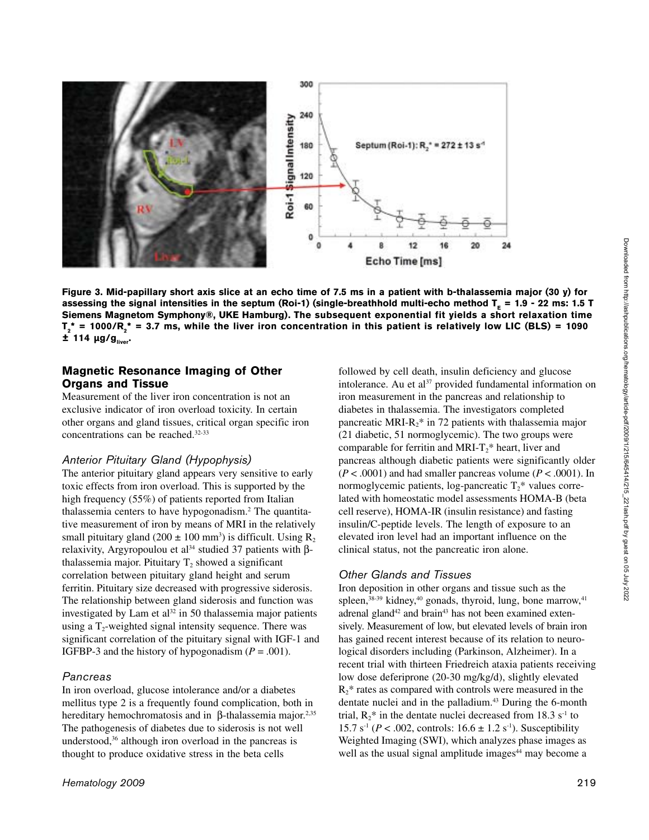

**Figure 3. Mid-papillary short axis slice at an echo time of 7.5 ms in a patient with b-thalassemia major (30 y) for** assessing the signal intensities in the septum (Roi-1) (single-breathhold multi-echo method  $T<sub>e</sub> = 1.9 - 22$  ms: 1.5 T **Siemens Magnetom Symphony®, UKE Hamburg). The subsequent exponential fit yields a short relaxation time**  $T<sub>2</sub><sup>*</sup> = 1000/R<sub>2</sub><sup>*</sup> = 3.7 ms, while the liver iron concentration in this patient is relatively low LIC (BLS) = 1090$  $\pm$  114  $\mu$ g/g<sub>liver</sub>.

## **Magnetic Resonance Imaging of Other Organs and Tissue**

Measurement of the liver iron concentration is not an exclusive indicator of iron overload toxicity. In certain other organs and gland tissues, critical organ specific iron concentrations can be reached.32-33

#### *Anterior Pituitary Gland (Hypophysis)*

The anterior pituitary gland appears very sensitive to early toxic effects from iron overload. This is supported by the high frequency (55%) of patients reported from Italian thalassemia centers to have hypogonadism.2 The quantitative measurement of iron by means of MRI in the relatively small pituitary gland (200  $\pm$  100 mm<sup>3</sup>) is difficult. Using  $R_2$ relaxivity, Argyropoulou et al<sup>34</sup> studied 37 patients with βthalassemia major. Pituitary  $T_2$  showed a significant correlation between pituitary gland height and serum ferritin. Pituitary size decreased with progressive siderosis. The relationship between gland siderosis and function was investigated by Lam et  $al^{32}$  in 50 thalassemia major patients using a  $T_2$ -weighted signal intensity sequence. There was significant correlation of the pituitary signal with IGF-1 and IGFBP-3 and the history of hypogonadism  $(P = .001)$ .

#### *Pancreas*

In iron overload, glucose intolerance and/or a diabetes mellitus type 2 is a frequently found complication, both in hereditary hemochromatosis and in β-thalassemia major.<sup>2,35</sup> The pathogenesis of diabetes due to siderosis is not well understood,<sup>36</sup> although iron overload in the pancreas is thought to produce oxidative stress in the beta cells

followed by cell death, insulin deficiency and glucose intolerance. Au et al<sup>37</sup> provided fundamental information on iron measurement in the pancreas and relationship to diabetes in thalassemia. The investigators completed pancreatic MRI-R<sub>2</sub> $*$  in 72 patients with thalassemia major (21 diabetic, 51 normoglycemic). The two groups were comparable for ferritin and MRI- $T_2^*$  heart, liver and pancreas although diabetic patients were significantly older (*P* < .0001) and had smaller pancreas volume (*P* < .0001). In normoglycemic patients, log-pancreatic  $T<sub>2</sub>$ \* values correlated with homeostatic model assessments HOMA-B (beta cell reserve), HOMA-IR (insulin resistance) and fasting insulin/C-peptide levels. The length of exposure to an elevated iron level had an important influence on the clinical status, not the pancreatic iron alone.

## *Other Glands and Tissues*

Iron deposition in other organs and tissue such as the spleen,<sup>38-39</sup> kidney,<sup>40</sup> gonads, thyroid, lung, bone marrow,<sup>41</sup> adrenal gland $42$  and brain $43$  has not been examined extensively. Measurement of low, but elevated levels of brain iron has gained recent interest because of its relation to neurological disorders including (Parkinson, Alzheimer). In a recent trial with thirteen Friedreich ataxia patients receiving low dose deferiprone (20-30 mg/kg/d), slightly elevated  $R_2^*$  rates as compared with controls were measured in the dentate nuclei and in the palladium.43 During the 6-month trial,  $R_2^*$  in the dentate nuclei decreased from 18.3 s<sup>-1</sup> to 15.7 s<sup>-1</sup> ( $P < .002$ , controls: 16.6 ± 1.2 s<sup>-1</sup>). Susceptibility Weighted Imaging (SWI), which analyzes phase images as well as the usual signal amplitude images<sup>44</sup> may become a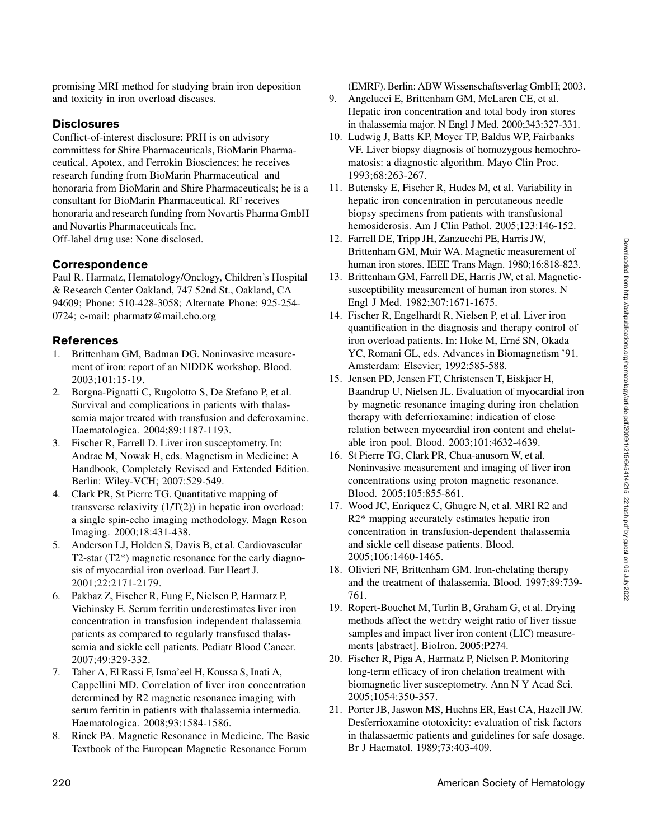promising MRI method for studying brain iron deposition and toxicity in iron overload diseases.

# **Disclosures**

Conflict-of-interest disclosure: PRH is on advisory committess for Shire Pharmaceuticals, BioMarin Pharmaceutical, Apotex, and Ferrokin Biosciences; he receives research funding from BioMarin Pharmaceutical and honoraria from BioMarin and Shire Pharmaceuticals; he is a consultant for BioMarin Pharmaceutical. RF receives honoraria and research funding from Novartis Pharma GmbH and Novartis Pharmaceuticals Inc. Off-label drug use: None disclosed.

# **Correspondence**

Paul R. Harmatz, Hematology/Onclogy, Children's Hospital & Research Center Oakland, 747 52nd St., Oakland, CA 94609; Phone: 510-428-3058; Alternate Phone: 925-254- 0724; e-mail: pharmatz@mail.cho.org

# **References**

- 1. Brittenham GM, Badman DG. Noninvasive measurement of iron: report of an NIDDK workshop. Blood. 2003;101:15-19.
- 2. Borgna-Pignatti C, Rugolotto S, De Stefano P, et al. Survival and complications in patients with thalassemia major treated with transfusion and deferoxamine. Haematologica. 2004;89:1187-1193.
- 3. Fischer R, Farrell D. Liver iron susceptometry. In: Andrae M, Nowak H, eds. Magnetism in Medicine: A Handbook, Completely Revised and Extended Edition. Berlin: Wiley-VCH; 2007:529-549.
- 4. Clark PR, St Pierre TG. Quantitative mapping of transverse relaxivity (1/T(2)) in hepatic iron overload: a single spin-echo imaging methodology. Magn Reson Imaging. 2000;18:431-438.
- 5. Anderson LJ, Holden S, Davis B, et al. Cardiovascular T2-star (T2\*) magnetic resonance for the early diagnosis of myocardial iron overload. Eur Heart J. 2001;22:2171-2179.
- 6. Pakbaz Z, Fischer R, Fung E, Nielsen P, Harmatz P, Vichinsky E. Serum ferritin underestimates liver iron concentration in transfusion independent thalassemia patients as compared to regularly transfused thalassemia and sickle cell patients. Pediatr Blood Cancer. 2007;49:329-332.
- 7. Taher A, El Rassi F, Isma'eel H, Koussa S, Inati A, Cappellini MD. Correlation of liver iron concentration determined by R2 magnetic resonance imaging with serum ferritin in patients with thalassemia intermedia. Haematologica. 2008;93:1584-1586.
- 8. Rinck PA. Magnetic Resonance in Medicine. The Basic Textbook of the European Magnetic Resonance Forum

(EMRF). Berlin: ABW Wissenschaftsverlag GmbH; 2003.

- 9. Angelucci E, Brittenham GM, McLaren CE, et al. Hepatic iron concentration and total body iron stores in thalassemia major. N Engl J Med. 2000;343:327-331.
- 10. Ludwig J, Batts KP, Moyer TP, Baldus WP, Fairbanks VF. Liver biopsy diagnosis of homozygous hemochromatosis: a diagnostic algorithm. Mayo Clin Proc. 1993;68:263-267.
- 11. Butensky E, Fischer R, Hudes M, et al. Variability in hepatic iron concentration in percutaneous needle biopsy specimens from patients with transfusional hemosiderosis. Am J Clin Pathol. 2005;123:146-152.
- 12. Farrell DE, Tripp JH, Zanzucchi PE, Harris JW, Brittenham GM, Muir WA. Magnetic measurement of human iron stores. IEEE Trans Magn. 1980;16:818-823.
- 13. Brittenham GM, Farrell DE, Harris JW, et al. Magneticsusceptibility measurement of human iron stores. N Engl J Med. 1982;307:1671-1675.
- 14. Fischer R, Engelhardt R, Nielsen P, et al. Liver iron quantification in the diagnosis and therapy control of iron overload patients. In: Hoke M, Erné SN, Okada YC, Romani GL, eds. Advances in Biomagnetism '91. Amsterdam: Elsevier; 1992:585-588.
- 15. Jensen PD, Jensen FT, Christensen T, Eiskjaer H, Baandrup U, Nielsen JL. Evaluation of myocardial iron by magnetic resonance imaging during iron chelation therapy with deferrioxamine: indication of close relation between myocardial iron content and chelatable iron pool. Blood. 2003;101:4632-4639.
- 16. St Pierre TG, Clark PR, Chua-anusorn W, et al. Noninvasive measurement and imaging of liver iron concentrations using proton magnetic resonance. Blood. 2005;105:855-861.
- 17. Wood JC, Enriquez C, Ghugre N, et al. MRI R2 and R2\* mapping accurately estimates hepatic iron concentration in transfusion-dependent thalassemia and sickle cell disease patients. Blood. 2005;106:1460-1465.
- 18. Olivieri NF, Brittenham GM. Iron-chelating therapy and the treatment of thalassemia. Blood. 1997;89:739- 761.
- 19. Ropert-Bouchet M, Turlin B, Graham G, et al. Drying methods affect the wet:dry weight ratio of liver tissue samples and impact liver iron content (LIC) measurements [abstract]. BioIron. 2005:P274.
- 20. Fischer R, Piga A, Harmatz P, Nielsen P. Monitoring long-term efficacy of iron chelation treatment with biomagnetic liver susceptometry. Ann N Y Acad Sci. 2005;1054:350-357.
- 21. Porter JB, Jaswon MS, Huehns ER, East CA, Hazell JW. Desferrioxamine ototoxicity: evaluation of risk factors in thalassaemic patients and guidelines for safe dosage. Br J Haematol. 1989;73:403-409.